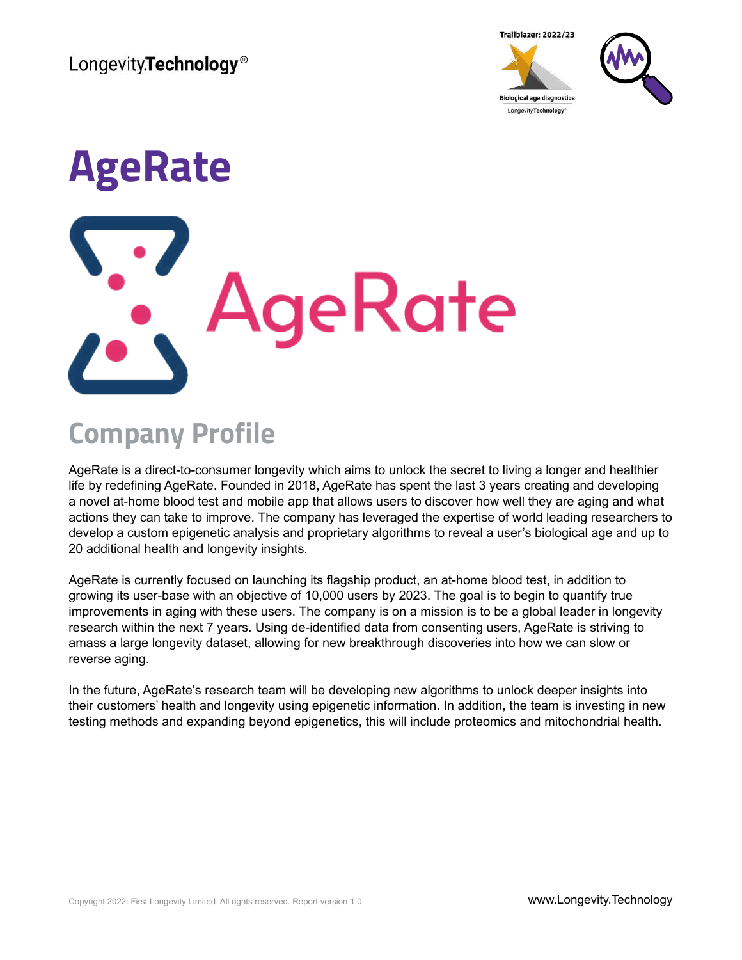Longevity.Technology<sup>®</sup>





# **AgeRate** geRate

## **Company Profile**

AgeRate is a direct-to-consumer longevity which aims to unlock the secret to living a longer and healthier life by redefining AgeRate. Founded in 2018, AgeRate has spent the last 3 years creating and developing a novel at-home blood test and mobile app that allows users to discover how well they are aging and what actions they can take to improve. The company has leveraged the expertise of world leading researchers to develop a custom epigenetic analysis and proprietary algorithms to reveal a user's biological age and up to 20 additional health and longevity insights.

AgeRate is currently focused on launching its flagship product, an at-home blood test, in addition to growing its user-base with an objective of 10,000 users by 2023. The goal is to begin to quantify true improvements in aging with these users. The company is on a mission is to be a global leader in longevity research within the next 7 years. Using de-identified data from consenting users, AgeRate is striving to amass a large longevity dataset, allowing for new breakthrough discoveries into how we can slow or reverse aging.

In the future, AgeRate's research team will be developing new algorithms to unlock deeper insights into their customers' health and longevity using epigenetic information. In addition, the team is investing in new testing methods and expanding beyond epigenetics, this will include proteomics and mitochondrial health.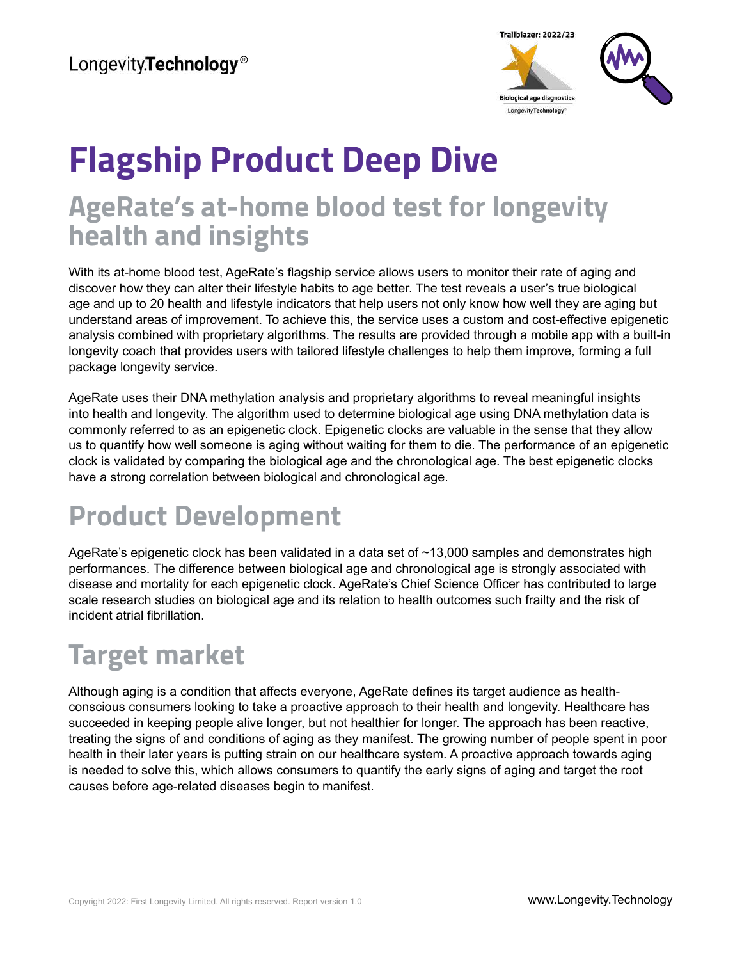

## **Flagship Product Deep Dive AgeRate's at-home blood test for longevity health and insights**

With its at-home blood test, AgeRate's flagship service allows users to monitor their rate of aging and discover how they can alter their lifestyle habits to age better. The test reveals a user's true biological age and up to 20 health and lifestyle indicators that help users not only know how well they are aging but understand areas of improvement. To achieve this, the service uses a custom and cost-effective epigenetic analysis combined with proprietary algorithms. The results are provided through a mobile app with a built-in longevity coach that provides users with tailored lifestyle challenges to help them improve, forming a full package longevity service.

AgeRate uses their DNA methylation analysis and proprietary algorithms to reveal meaningful insights into health and longevity. The algorithm used to determine biological age using DNA methylation data is commonly referred to as an epigenetic clock. Epigenetic clocks are valuable in the sense that they allow us to quantify how well someone is aging without waiting for them to die. The performance of an epigenetic clock is validated by comparing the biological age and the chronological age. The best epigenetic clocks have a strong correlation between biological and chronological age.

## **Product Development**

AgeRate's epigenetic clock has been validated in a data set of ~13,000 samples and demonstrates high performances. The difference between biological age and chronological age is strongly associated with disease and mortality for each epigenetic clock. AgeRate's Chief Science Officer has contributed to large scale research studies on biological age and its relation to health outcomes such frailty and the risk of incident atrial fibrillation.

## **Target market**

Although aging is a condition that affects everyone, AgeRate defines its target audience as healthconscious consumers looking to take a proactive approach to their health and longevity. Healthcare has succeeded in keeping people alive longer, but not healthier for longer. The approach has been reactive, treating the signs of and conditions of aging as they manifest. The growing number of people spent in poor health in their later years is putting strain on our healthcare system. A proactive approach towards aging is needed to solve this, which allows consumers to quantify the early signs of aging and target the root causes before age-related diseases begin to manifest.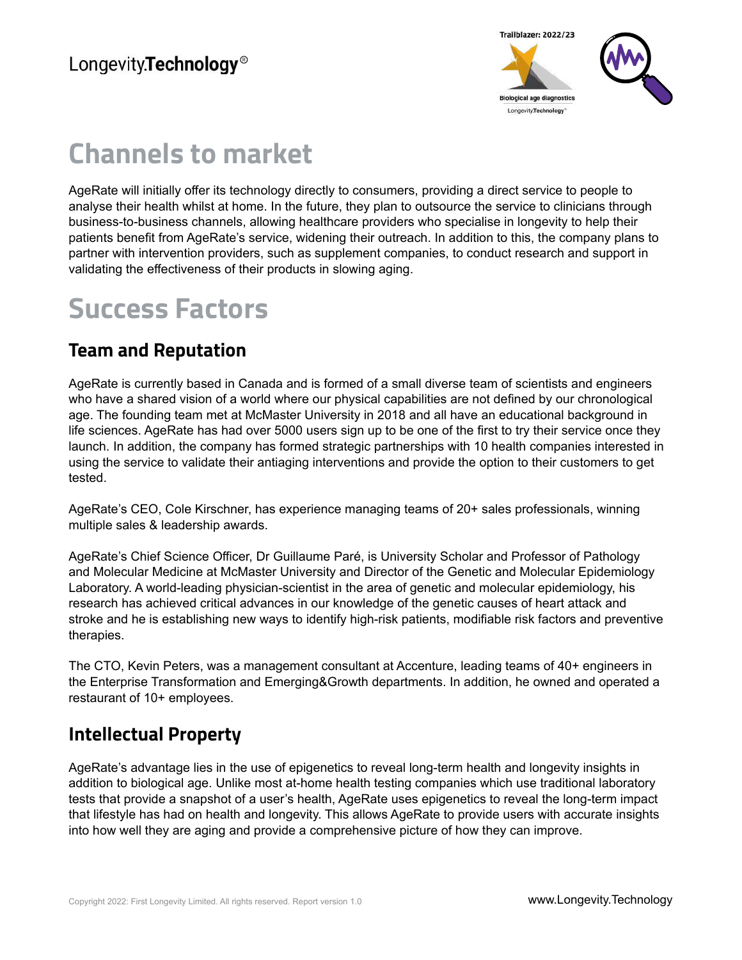

### **Channels to market**

AgeRate will initially offer its technology directly to consumers, providing a direct service to people to analyse their health whilst at home. In the future, they plan to outsource the service to clinicians through business-to-business channels, allowing healthcare providers who specialise in longevity to help their patients benefit from AgeRate's service, widening their outreach. In addition to this, the company plans to partner with intervention providers, such as supplement companies, to conduct research and support in validating the effectiveness of their products in slowing aging.

#### **Success Factors**

#### **Team and Reputation**

AgeRate is currently based in Canada and is formed of a small diverse team of scientists and engineers who have a shared vision of a world where our physical capabilities are not defined by our chronological age. The founding team met at McMaster University in 2018 and all have an educational background in life sciences. AgeRate has had over 5000 users sign up to be one of the first to try their service once they launch. In addition, the company has formed strategic partnerships with 10 health companies interested in using the service to validate their antiaging interventions and provide the option to their customers to get tested.

AgeRate's CEO, Cole Kirschner, has experience managing teams of 20+ sales professionals, winning multiple sales & leadership awards.

AgeRate's Chief Science Officer, Dr Guillaume Paré, is University Scholar and Professor of Pathology and Molecular Medicine at McMaster University and Director of the Genetic and Molecular Epidemiology Laboratory. A world-leading physician-scientist in the area of genetic and molecular epidemiology, his research has achieved critical advances in our knowledge of the genetic causes of heart attack and stroke and he is establishing new ways to identify high-risk patients, modifiable risk factors and preventive therapies.

The CTO, Kevin Peters, was a management consultant at Accenture, leading teams of 40+ engineers in the Enterprise Transformation and Emerging&Growth departments. In addition, he owned and operated a restaurant of 10+ employees.

#### **Intellectual Property**

AgeRate's advantage lies in the use of epigenetics to reveal long-term health and longevity insights in addition to biological age. Unlike most at-home health testing companies which use traditional laboratory tests that provide a snapshot of a user's health, AgeRate uses epigenetics to reveal the long-term impact that lifestyle has had on health and longevity. This allows AgeRate to provide users with accurate insights into how well they are aging and provide a comprehensive picture of how they can improve.